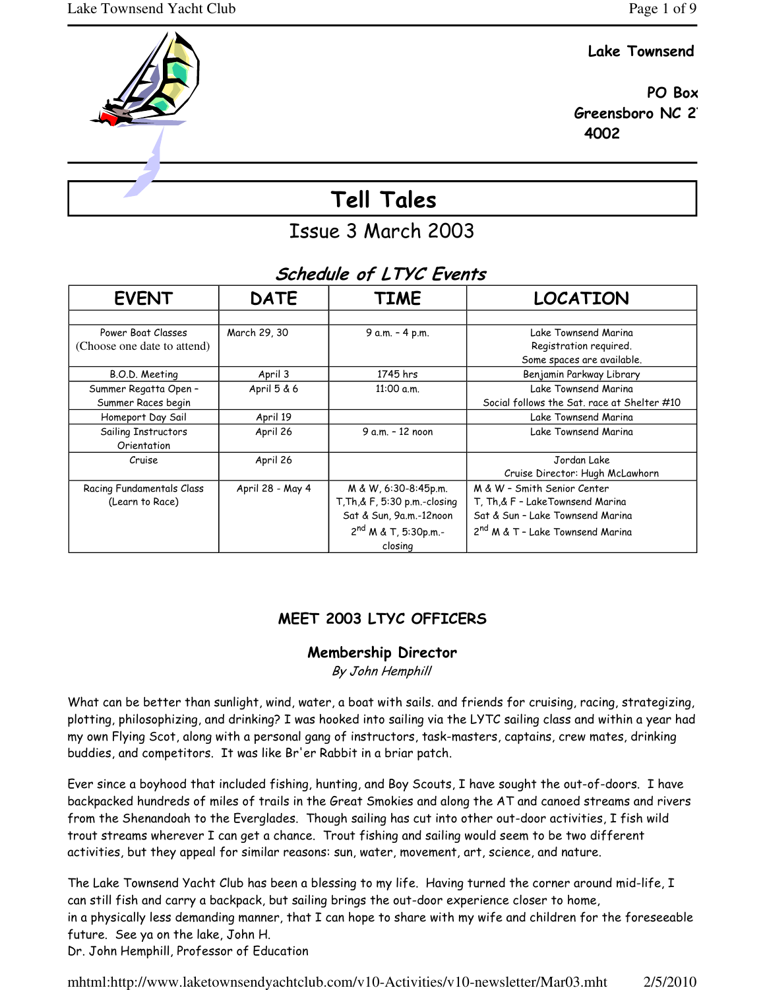## Lake Townsend

 PO Box Greensboro NC 2 4002

# Tell Tales

Issue 3 March 2003

## Schedule of LTYC Events

| <b>EVENT</b>                | <b>DATE</b>      | <b>TIME</b>                   | <b>LOCATION</b>                              |
|-----------------------------|------------------|-------------------------------|----------------------------------------------|
|                             |                  |                               |                                              |
| Power Boat Classes          | March 29, 30     | 9 a.m. - 4 p.m.               | Lake Townsend Marina                         |
| (Choose one date to attend) |                  |                               | Registration required.                       |
|                             |                  |                               | Some spaces are available.                   |
| B.O.D. Meeting              | April 3          | 1745 hrs                      | Benjamin Parkway Library                     |
| Summer Regatta Open -       | April 5 & 6      | 11:00 a.m.                    | Lake Townsend Marina                         |
| Summer Races begin          |                  |                               | Social follows the Sat. race at Shelter #10  |
| Homeport Day Sail           | April 19         |                               | Lake Townsend Marina                         |
| Sailing Instructors         | April 26         | 9 a.m. - 12 noon              | Lake Townsend Marina                         |
| Orientation                 |                  |                               |                                              |
| Cruise                      | April 26         |                               | Jordan Lake                                  |
|                             |                  |                               | Cruise Director: Hugh McLawhorn              |
| Racing Fundamentals Class   | April 28 - May 4 | M & W, 6:30-8:45p.m.          | M & W - Smith Senior Center                  |
| (Learn to Race)             |                  | T, Th, & F, 5:30 p.m.-closing | T, Th,& F - LakeTownsend Marina              |
|                             |                  | Sat & Sun, 9a.m.-12noon       | Sat & Sun - Lake Townsend Marina             |
|                             |                  | $2^{nd}$ M & T, 5:30p.m.-     | 2 <sup>nd</sup> M & T - Lake Townsend Marina |
|                             |                  | closing                       |                                              |

## MEET 2003 LTYC OFFICERS

## Membership Director

By John Hemphill

What can be better than sunlight, wind, water, a boat with sails. and friends for cruising, racing, strategizing, plotting, philosophizing, and drinking? I was hooked into sailing via the LYTC sailing class and within a year had my own Flying Scot, along with a personal gang of instructors, task-masters, captains, crew mates, drinking buddies, and competitors. It was like Br'er Rabbit in a briar patch.

Ever since a boyhood that included fishing, hunting, and Boy Scouts, I have sought the out-of-doors. I have backpacked hundreds of miles of trails in the Great Smokies and along the AT and canoed streams and rivers from the Shenandoah to the Everglades. Though sailing has cut into other out-door activities, I fish wild trout streams wherever I can get a chance. Trout fishing and sailing would seem to be two different activities, but they appeal for similar reasons: sun, water, movement, art, science, and nature.

The Lake Townsend Yacht Club has been a blessing to my life. Having turned the corner around mid-life, I can still fish and carry a backpack, but sailing brings the out-door experience closer to home, in a physically less demanding manner, that I can hope to share with my wife and children for the foreseeable future. See ya on the lake, John H. Dr. John Hemphill, Professor of Education

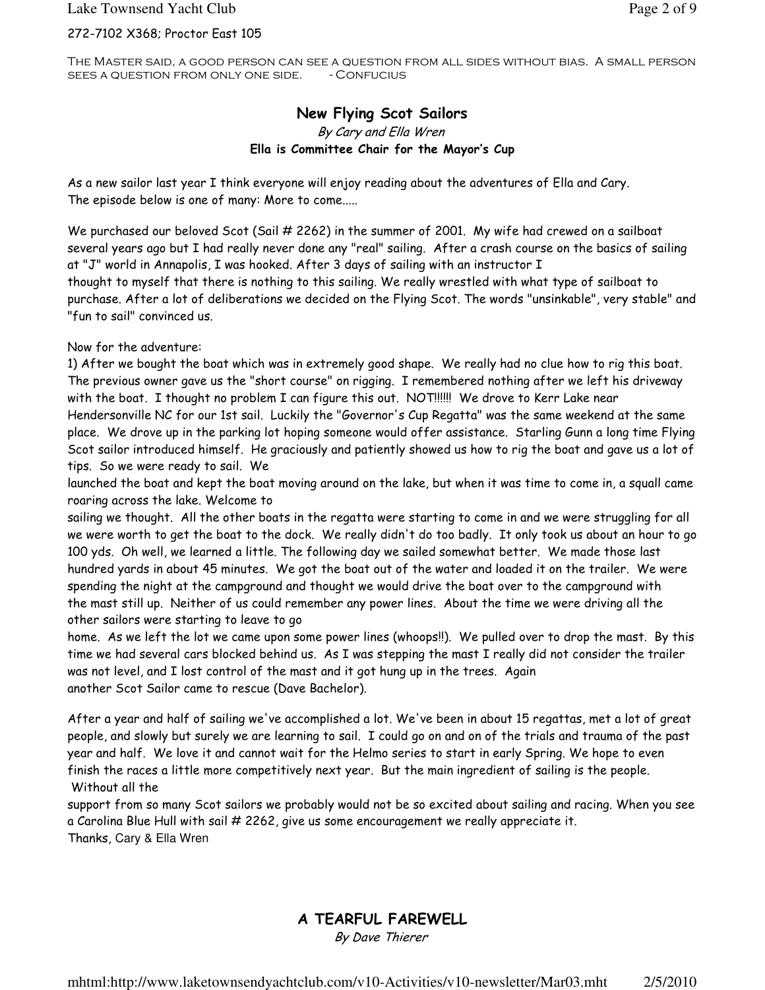The Master said, a good person can see a question from all sides without bias. A small person SEES A QUESTION FROM ONLY ONE SIDE. - CONFUCIUS

### New Flying Scot Sailors By Cary and Ella Wren Ella is Committee Chair for the Mayor's Cup

As a new sailor last year I think everyone will enjoy reading about the adventures of Ella and Cary. The episode below is one of many: More to come.....

We purchased our beloved Scot (Sail # 2262) in the summer of 2001. My wife had crewed on a sailboat several years ago but I had really never done any "real" sailing. After a crash course on the basics of sailing at "J" world in Annapolis, I was hooked. After 3 days of sailing with an instructor I thought to myself that there is nothing to this sailing. We really wrestled with what type of sailboat to purchase. After a lot of deliberations we decided on the Flying Scot. The words "unsinkable", very stable" and "fun to sail" convinced us.

Now for the adventure:

1) After we bought the boat which was in extremely good shape. We really had no clue how to rig this boat. The previous owner gave us the "short course" on rigging. I remembered nothing after we left his driveway with the boat. I thought no problem I can figure this out. NOT!!!!!! We drove to Kerr Lake near Hendersonville NC for our 1st sail. Luckily the "Governor's Cup Regatta" was the same weekend at the same place. We drove up in the parking lot hoping someone would offer assistance. Starling Gunn a long time Flying Scot sailor introduced himself. He graciously and patiently showed us how to rig the boat and gave us a lot of tips. So we were ready to sail. We

launched the boat and kept the boat moving around on the lake, but when it was time to come in, a squall came roaring across the lake. Welcome to

sailing we thought. All the other boats in the regatta were starting to come in and we were struggling for all we were worth to get the boat to the dock. We really didn't do too badly. It only took us about an hour to go 100 yds. Oh well, we learned a little. The following day we sailed somewhat better. We made those last hundred yards in about 45 minutes. We got the boat out of the water and loaded it on the trailer. We were spending the night at the campground and thought we would drive the boat over to the campground with the mast still up. Neither of us could remember any power lines. About the time we were driving all the other sailors were starting to leave to go

home. As we left the lot we came upon some power lines (whoops!!). We pulled over to drop the mast. By this time we had several cars blocked behind us. As I was stepping the mast I really did not consider the trailer was not level, and I lost control of the mast and it got hung up in the trees. Again another Scot Sailor came to rescue (Dave Bachelor).

After a year and half of sailing we've accomplished a lot. We've been in about 15 regattas, met a lot of great people, and slowly but surely we are learning to sail. I could go on and on of the trials and trauma of the past year and half. We love it and cannot wait for the Helmo series to start in early Spring. We hope to even finish the races a little more competitively next year. But the main ingredient of sailing is the people. Without all the

support from so many Scot sailors we probably would not be so excited about sailing and racing. When you see a Carolina Blue Hull with sail # 2262, give us some encouragement we really appreciate it. Thanks, Cary & Ella Wren

A TEARFUL FAREWELL By Dave Thierer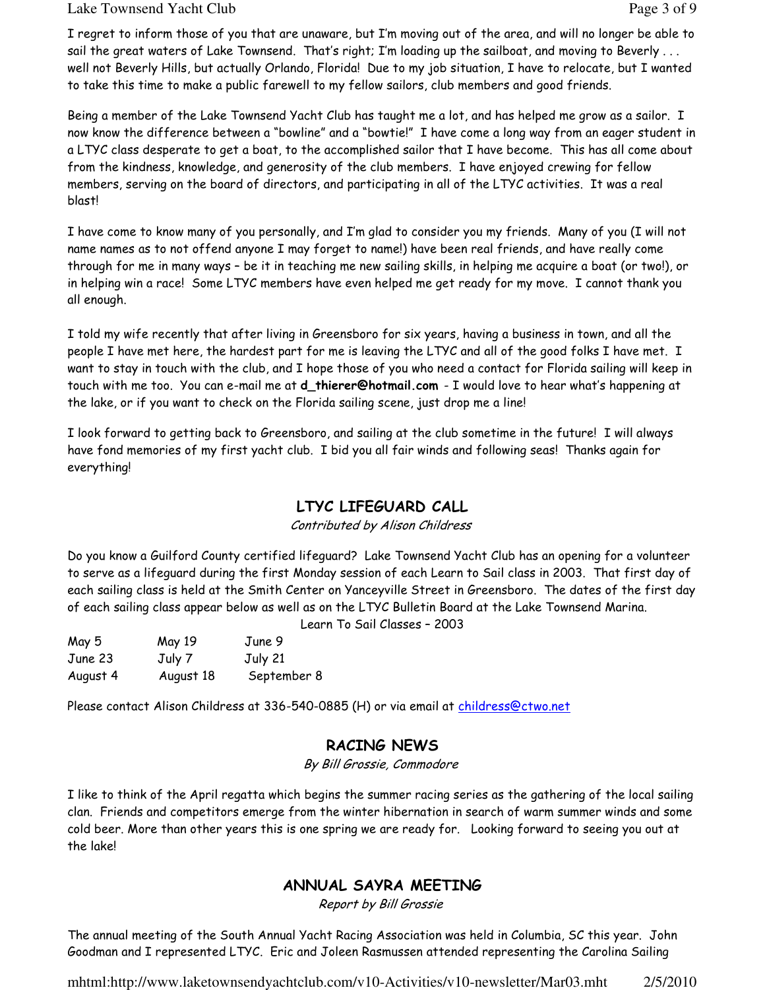#### Lake Townsend Yacht Club **Page 3 of 9** and  $P$  and  $P$  and  $P$  and  $P$  and  $P$  and  $P$  and  $P$  and  $P$  and  $P$  and  $P$  and  $P$  and  $P$  and  $P$  and  $P$  and  $P$  and  $P$  and  $P$  and  $P$  and  $P$  and  $P$  and  $P$  and  $P$  and  $P$

I regret to inform those of you that are unaware, but I'm moving out of the area, and will no longer be able to sail the great waters of Lake Townsend. That's right; I'm loading up the sailboat, and moving to Beverly . . . well not Beverly Hills, but actually Orlando, Florida! Due to my job situation, I have to relocate, but I wanted to take this time to make a public farewell to my fellow sailors, club members and good friends.

Being a member of the Lake Townsend Yacht Club has taught me a lot, and has helped me grow as a sailor. I now know the difference between a "bowline" and a "bowtie!" I have come a long way from an eager student in a LTYC class desperate to get a boat, to the accomplished sailor that I have become. This has all come about from the kindness, knowledge, and generosity of the club members. I have enjoyed crewing for fellow members, serving on the board of directors, and participating in all of the LTYC activities. It was a real blast!

I have come to know many of you personally, and I'm glad to consider you my friends. Many of you (I will not name names as to not offend anyone I may forget to name!) have been real friends, and have really come through for me in many ways – be it in teaching me new sailing skills, in helping me acquire a boat (or two!), or in helping win a race! Some LTYC members have even helped me get ready for my move. I cannot thank you all enough.

I told my wife recently that after living in Greensboro for six years, having a business in town, and all the people I have met here, the hardest part for me is leaving the LTYC and all of the good folks I have met. I want to stay in touch with the club, and I hope those of you who need a contact for Florida sailing will keep in touch with me too. You can e-mail me at **d\_thierer@hotmail.com** - I would love to hear what's happening at the lake, or if you want to check on the Florida sailing scene, just drop me a line!

I look forward to getting back to Greensboro, and sailing at the club sometime in the future! I will always have fond memories of my first yacht club. I bid you all fair winds and following seas! Thanks again for everything!

## LTYC LIFEGUARD CALL

Contributed by Alison Childress

Do you know a Guilford County certified lifeguard? Lake Townsend Yacht Club has an opening for a volunteer to serve as a lifeguard during the first Monday session of each Learn to Sail class in 2003. That first day of each sailing class is held at the Smith Center on Yanceyville Street in Greensboro. The dates of the first day of each sailing class appear below as well as on the LTYC Bulletin Board at the Lake Townsend Marina.

Learn To Sail Classes – 2003

| May 5    | May 19    | June 9      |
|----------|-----------|-------------|
| June 23  | July 7    | July 21     |
| August 4 | August 18 | September 8 |

Please contact Alison Childress at 336-540-0885 (H) or via email at childress@ctwo.net

## RACING NEWS

By Bill Grossie, Commodore

I like to think of the April regatta which begins the summer racing series as the gathering of the local sailing clan. Friends and competitors emerge from the winter hibernation in search of warm summer winds and some cold beer. More than other years this is one spring we are ready for. Looking forward to seeing you out at the lake!

## ANNUAL SAYRA MEETING

Report by Bill Grossie

The annual meeting of the South Annual Yacht Racing Association was held in Columbia, SC this year. John Goodman and I represented LTYC. Eric and Joleen Rasmussen attended representing the Carolina Sailing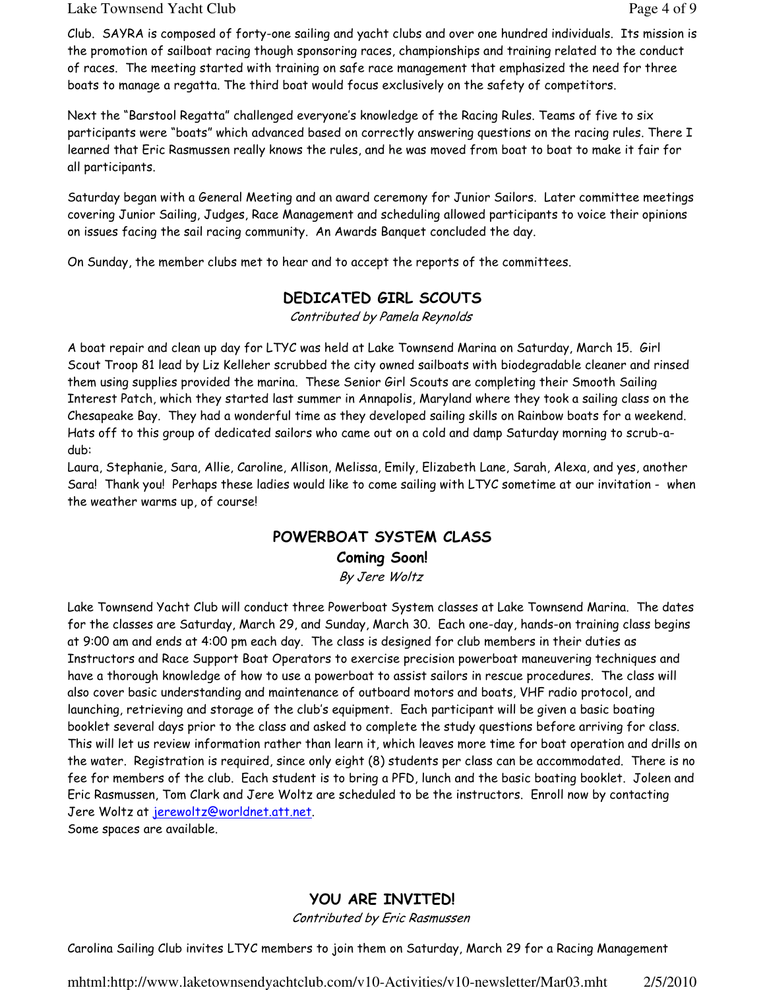#### Lake Townsend Yacht Club **Page 4 of 9** and  $P$  and  $P$  and  $P$  and  $P$  and  $P$  and  $P$  and  $P$  and  $P$  and  $P$  and  $P$  and  $P$  and  $P$  and  $P$  and  $P$  and  $P$  and  $P$  and  $P$  and  $P$  and  $P$  and  $P$  and  $P$  and  $P$  and  $P$

Club. SAYRA is composed of forty-one sailing and yacht clubs and over one hundred individuals. Its mission is the promotion of sailboat racing though sponsoring races, championships and training related to the conduct of races. The meeting started with training on safe race management that emphasized the need for three boats to manage a regatta. The third boat would focus exclusively on the safety of competitors.

Next the "Barstool Regatta" challenged everyone's knowledge of the Racing Rules. Teams of five to six participants were "boats" which advanced based on correctly answering questions on the racing rules. There I learned that Eric Rasmussen really knows the rules, and he was moved from boat to boat to make it fair for all participants.

Saturday began with a General Meeting and an award ceremony for Junior Sailors. Later committee meetings covering Junior Sailing, Judges, Race Management and scheduling allowed participants to voice their opinions on issues facing the sail racing community. An Awards Banquet concluded the day.

On Sunday, the member clubs met to hear and to accept the reports of the committees.

## DEDICATED GIRL SCOUTS

Contributed by Pamela Reynolds

A boat repair and clean up day for LTYC was held at Lake Townsend Marina on Saturday, March 15. Girl Scout Troop 81 lead by Liz Kelleher scrubbed the city owned sailboats with biodegradable cleaner and rinsed them using supplies provided the marina. These Senior Girl Scouts are completing their Smooth Sailing Interest Patch, which they started last summer in Annapolis, Maryland where they took a sailing class on the Chesapeake Bay. They had a wonderful time as they developed sailing skills on Rainbow boats for a weekend. Hats off to this group of dedicated sailors who came out on a cold and damp Saturday morning to scrub-adub:

Laura, Stephanie, Sara, Allie, Caroline, Allison, Melissa, Emily, Elizabeth Lane, Sarah, Alexa, and yes, another Sara! Thank you! Perhaps these ladies would like to come sailing with LTYC sometime at our invitation - when the weather warms up, of course!

## POWERBOAT SYSTEM CLASS Coming Soon!

By Jere Woltz

Lake Townsend Yacht Club will conduct three Powerboat System classes at Lake Townsend Marina. The dates for the classes are Saturday, March 29, and Sunday, March 30. Each one-day, hands-on training class begins at 9:00 am and ends at 4:00 pm each day. The class is designed for club members in their duties as Instructors and Race Support Boat Operators to exercise precision powerboat maneuvering techniques and have a thorough knowledge of how to use a powerboat to assist sailors in rescue procedures. The class will also cover basic understanding and maintenance of outboard motors and boats, VHF radio protocol, and launching, retrieving and storage of the club's equipment. Each participant will be given a basic boating booklet several days prior to the class and asked to complete the study questions before arriving for class. This will let us review information rather than learn it, which leaves more time for boat operation and drills on the water. Registration is required, since only eight (8) students per class can be accommodated. There is no fee for members of the club. Each student is to bring a PFD, lunch and the basic boating booklet. Joleen and Eric Rasmussen, Tom Clark and Jere Woltz are scheduled to be the instructors. Enroll now by contacting Jere Woltz at jerewoltz@worldnet.att.net.

Some spaces are available.

## YOU ARE INVITED!

Contributed by Eric Rasmussen

Carolina Sailing Club invites LTYC members to join them on Saturday, March 29 for a Racing Management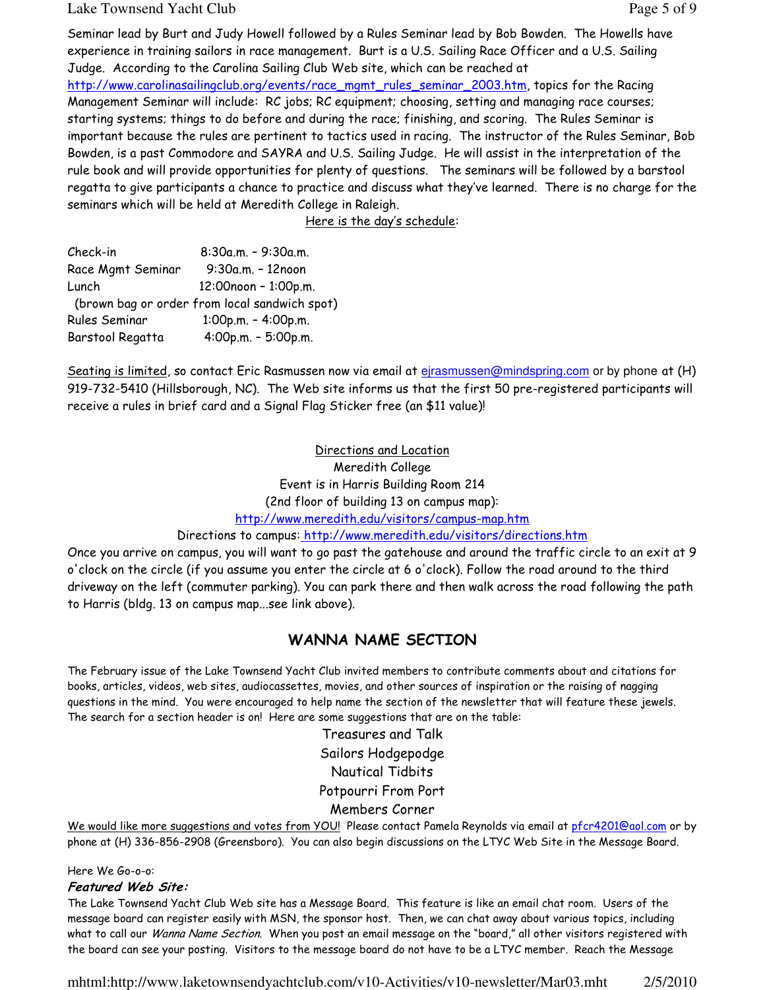#### Lake Townsend Yacht Club **Page 5 of 9** and  $P$  and  $P$  and  $P$  and  $P$  and  $P$  and  $P$  and  $P$  and  $P$  and  $P$  and  $P$  and  $P$  and  $P$  and  $P$  and  $P$  and  $P$  and  $P$  and  $P$  and  $P$  and  $P$  and  $P$  and  $P$  and  $P$  and  $P$

Seminar lead by Burt and Judy Howell followed by a Rules Seminar lead by Bob Bowden. The Howells have experience in training sailors in race management. Burt is a U.S. Sailing Race Officer and a U.S. Sailing Judge. According to the Carolina Sailing Club Web site, which can be reached at http://www.carolinasailingclub.org/events/race\_mgmt\_rules\_seminar\_2003.htm, topics for the Racing Management Seminar will include: RC jobs; RC equipment; choosing, setting and managing race courses; starting systems; things to do before and during the race; finishing, and scoring. The Rules Seminar is important because the rules are pertinent to tactics used in racing. The instructor of the Rules Seminar, Bob Bowden, is a past Commodore and SAYRA and U.S. Sailing Judge. He will assist in the interpretation of the rule book and will provide opportunities for plenty of questions. The seminars will be followed by a barstool regatta to give participants a chance to practice and discuss what they've learned. There is no charge for the seminars which will be held at Meredith College in Raleigh.

Here is the day's schedule:

| Check-in          | 8:30a.m. - 9:30a.m.                           |
|-------------------|-----------------------------------------------|
| Race Mgmt Seminar | 9:30a.m. - 12noon                             |
| Lunch             | 12:00noon - 1:00p.m.                          |
|                   | (brown bag or order from local sandwich spot) |
| Rules Seminar     | $1:00p.m. - 4:00p.m.$                         |
| Barstool Regatta  | 4:00p.m. - 5:00p.m.                           |

Seating is limited, so contact Eric Rasmussen now via email at ejrasmussen@mindspring.com or by phone at (H) 919-732-5410 (Hillsborough, NC). The Web site informs us that the first 50 pre-registered participants will receive a rules in brief card and a Signal Flag Sticker free (an \$11 value)!

> Directions and Location Meredith College Event is in Harris Building Room 214 (2nd floor of building 13 on campus map):

http://www.meredith.edu/visitors/campus-map.htm

#### Directions to campus: http://www.meredith.edu/visitors/directions.htm

Once you arrive on campus, you will want to go past the gatehouse and around the traffic circle to an exit at 9 o'clock on the circle (if you assume you enter the circle at 6 o'clock). Follow the road around to the third driveway on the left (commuter parking). You can park there and then walk across the road following the path to Harris (bldg. 13 on campus map...see link above).

## WANNA NAME SECTION

The February issue of the Lake Townsend Yacht Club invited members to contribute comments about and citations for books, articles, videos, web sites, audiocassettes, movies, and other sources of inspiration or the raising of nagging questions in the mind. You were encouraged to help name the section of the newsletter that will feature these jewels. The search for a section header is on! Here are some suggestions that are on the table:

> Treasures and Talk Sailors Hodgepodge Nautical Tidbits Potpourri From Port Members Corner

We would like more suggestions and votes from YOU! Please contact Pamela Reynolds via email at pfcr4201@aol.com or by phone at (H) 336-856-2908 (Greensboro). You can also begin discussions on the LTYC Web Site in the Message Board.

Here We Go-o-o:

#### Featured Web Site:

The Lake Townsend Yacht Club Web site has a Message Board. This feature is like an email chat room. Users of the message board can register easily with MSN, the sponsor host. Then, we can chat away about various topics, including what to call our Wanna Name Section. When you post an email message on the "board," all other visitors registered with the board can see your posting. Visitors to the message board do not have to be a LTYC member. Reach the Message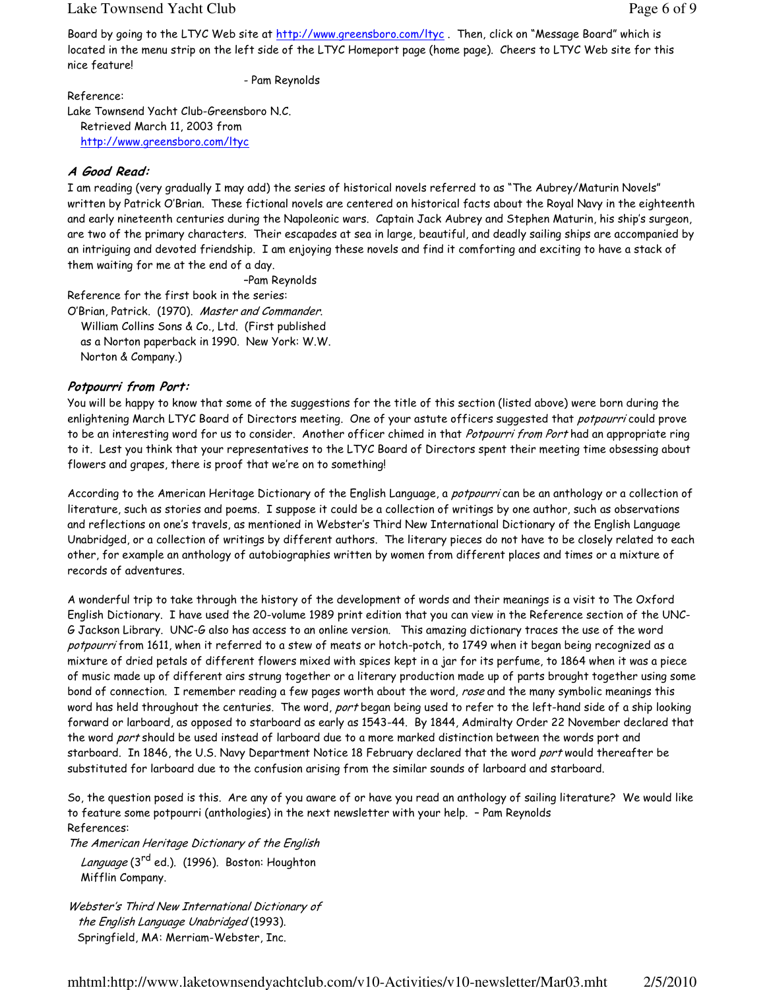#### Lake Townsend Yacht Club **Page 6 of 9** and  $P$  and  $P$  and  $P$  and  $P$  and  $P$  and  $P$  and  $P$  and  $P$  and  $P$  and  $P$  and  $P$  and  $P$  and  $P$  and  $P$  and  $P$  and  $P$  and  $P$  and  $P$  and  $P$  and  $P$  and  $P$  and  $P$  and  $P$

Board by going to the LTYC Web site at http://www.greensboro.com/ltyc. Then, click on "Message Board" which is located in the menu strip on the left side of the LTYC Homeport page (home page). Cheers to LTYC Web site for this nice feature!

- Pam Reynolds

Reference:

Lake Townsend Yacht Club-Greensboro N.C. Retrieved March 11, 2003 from http://www.greensboro.com/ltyc

#### A Good Read:

I am reading (very gradually I may add) the series of historical novels referred to as "The Aubrey/Maturin Novels" written by Patrick O'Brian. These fictional novels are centered on historical facts about the Royal Navy in the eighteenth and early nineteenth centuries during the Napoleonic wars. Captain Jack Aubrey and Stephen Maturin, his ship's surgeon, are two of the primary characters. Their escapades at sea in large, beautiful, and deadly sailing ships are accompanied by an intriguing and devoted friendship. I am enjoying these novels and find it comforting and exciting to have a stack of them waiting for me at the end of a day.

–Pam Reynolds

Reference for the first book in the series:

O'Brian, Patrick. (1970). Master and Commander. William Collins Sons & Co., Ltd. (First published as a Norton paperback in 1990. New York: W.W. Norton & Company.)

#### Potpourri from Port:

You will be happy to know that some of the suggestions for the title of this section (listed above) were born during the enlightening March LTYC Board of Directors meeting. One of your astute officers suggested that *potpourri* could prove to be an interesting word for us to consider. Another officer chimed in that Potpourri from Port had an appropriate ring to it. Lest you think that your representatives to the LTYC Board of Directors spent their meeting time obsessing about flowers and grapes, there is proof that we're on to something!

According to the American Heritage Dictionary of the English Language, a potpourri can be an anthology or a collection of literature, such as stories and poems. I suppose it could be a collection of writings by one author, such as observations and reflections on one's travels, as mentioned in Webster's Third New International Dictionary of the English Language Unabridged, or a collection of writings by different authors. The literary pieces do not have to be closely related to each other, for example an anthology of autobiographies written by women from different places and times or a mixture of records of adventures.

A wonderful trip to take through the history of the development of words and their meanings is a visit to The Oxford English Dictionary. I have used the 20-volume 1989 print edition that you can view in the Reference section of the UNC-G Jackson Library. UNC-G also has access to an online version. This amazing dictionary traces the use of the word potpourri from 1611, when it referred to a stew of meats or hotch-potch, to 1749 when it began being recognized as a mixture of dried petals of different flowers mixed with spices kept in a jar for its perfume, to 1864 when it was a piece of music made up of different airs strung together or a literary production made up of parts brought together using some bond of connection. I remember reading a few pages worth about the word, rose and the many symbolic meanings this word has held throughout the centuries. The word, port began being used to refer to the left-hand side of a ship looking forward or larboard, as opposed to starboard as early as 1543-44. By 1844, Admiralty Order 22 November declared that the word port should be used instead of larboard due to a more marked distinction between the words port and starboard. In 1846, the U.S. Navy Department Notice 18 February declared that the word port would thereafter be substituted for larboard due to the confusion arising from the similar sounds of larboard and starboard.

So, the question posed is this. Are any of you aware of or have you read an anthology of sailing literature? We would like to feature some potpourri (anthologies) in the next newsletter with your help. – Pam Reynolds References:

The American Heritage Dictionary of the English Language (3<sup>rd</sup> ed.). (1996). Boston: Houghton Mifflin Company.

Webster's Third New International Dictionary of the English Language Unabridged (1993). Springfield, MA: Merriam-Webster, Inc.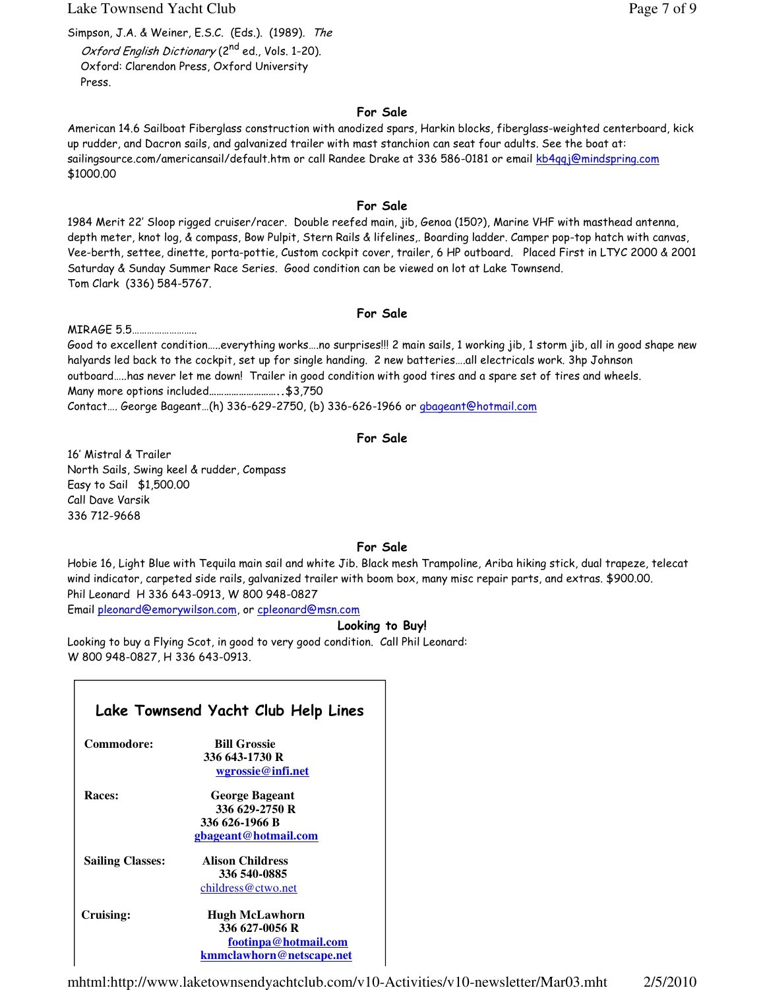Lake Townsend Yacht Club **Page 7** of 9

Simpson, J.A. & Weiner, E.S.C. (Eds.). (1989). The Oxford English Dictionary (2<sup>nd</sup> ed., Vols. 1-20). Oxford: Clarendon Press, Oxford University Press.

#### For Sale

American 14.6 Sailboat Fiberglass construction with anodized spars, Harkin blocks, fiberglass-weighted centerboard, kick up rudder, and Dacron sails, and galvanized trailer with mast stanchion can seat four adults. See the boat at: sailingsource.com/americansail/default.htm or call Randee Drake at 336 586-0181 or email kb4qqj@mindspring.com \$1000.00

#### For Sale

1984 Merit 22' Sloop rigged cruiser/racer. Double reefed main, jib, Genoa (150?), Marine VHF with masthead antenna, depth meter, knot log, & compass, Bow Pulpit, Stern Rails & lifelines,. Boarding ladder. Camper pop-top hatch with canvas, Vee-berth, settee, dinette, porta-pottie, Custom cockpit cover, trailer, 6 HP outboard. Placed First in LTYC 2000 & 2001 Saturday & Sunday Summer Race Series. Good condition can be viewed on lot at Lake Townsend. Tom Clark (336) 584-5767.

#### For Sale

MIRAGE 5.5……………………..

Good to excellent condition…..everything works….no surprises!!! 2 main sails, 1 working jib, 1 storm jib, all in good shape new halyards led back to the cockpit, set up for single handing. 2 new batteries….all electricals work. 3hp Johnson outboard…..has never let me down! Trailer in good condition with good tires and a spare set of tires and wheels. Many more options included………………………..\$3,750

Contact…. George Bageant…(h) 336-629-2750, (b) 336-626-1966 or gbageant@hotmail.com

#### For Sale

16' Mistral & Trailer North Sails, Swing keel & rudder, Compass Easy to Sail \$1,500.00 Call Dave Varsik 336 712-9668

#### For Sale

Hobie 16, Light Blue with Tequila main sail and white Jib. Black mesh Trampoline, Ariba hiking stick, dual trapeze, telecat wind indicator, carpeted side rails, galvanized trailer with boom box, many misc repair parts, and extras. \$900.00. Phil Leonard H 336 643-0913, W 800 948-0827

Email pleonard@emorywilson.com, or cpleonard@msn.com

#### Looking to Buy!

Looking to buy a Flying Scot, in good to very good condition. Call Phil Leonard: W 800 948-0827, H 336 643-0913.

| Lake Townsend Yacht Club Help Lines |                          |  |
|-------------------------------------|--------------------------|--|
| Commodore:                          | <b>Bill Grossie</b>      |  |
|                                     | 336 643-1730 R           |  |
|                                     | wgrossie@infi.net        |  |
| Races:                              | <b>George Bageant</b>    |  |
|                                     | 336 629-2750 R           |  |
|                                     | 336 626-1966 B           |  |
|                                     | gbageant@hotmail.com     |  |
| <b>Sailing Classes:</b>             | <b>Alison Childress</b>  |  |
|                                     | 336 540-0885             |  |
|                                     | childress@ctwo.net       |  |
| <b>Cruising:</b>                    | <b>Hugh McLawhorn</b>    |  |
|                                     | 336 627-0056 R           |  |
|                                     | footinpa@hotmail.com     |  |
|                                     | kmmclawhorn@netscape.net |  |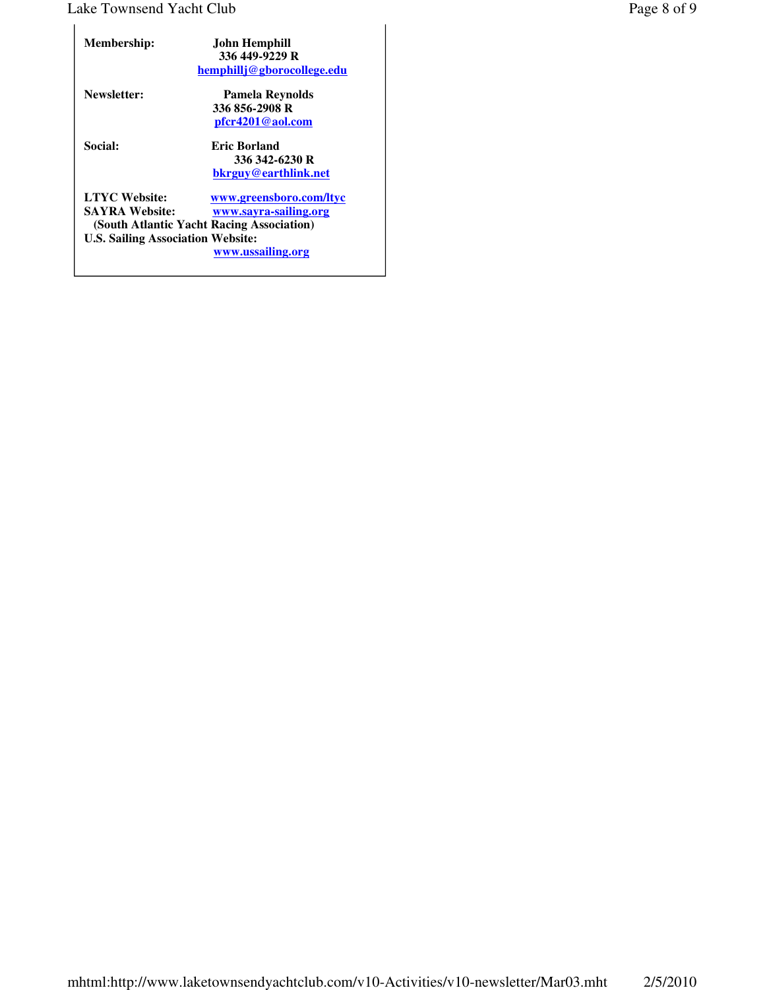## Lake Townsend Yacht Club Page 8 of 9

| <b>Membership:</b>                                                                                                                     | John Hemphill<br>336 449-9229 R<br>hemphillj@gborocollege.edu         |
|----------------------------------------------------------------------------------------------------------------------------------------|-----------------------------------------------------------------------|
| Newsletter:                                                                                                                            | Pamela Reynolds<br>336 856-2908 R<br>pfcr4201@aol.com                 |
| <b>Social:</b>                                                                                                                         | <b>Eric Borland</b><br>336 342-6230 R<br>bkrguy@earthlink.net         |
| <b>LTYC Website:</b><br><b>SAYRA Website:</b><br>(South Atlantic Yacht Racing Association)<br><b>U.S. Sailing Association Website:</b> | www.greensboro.com/ltyc<br>www.sayra-sailing.org<br>www.ussailing.org |